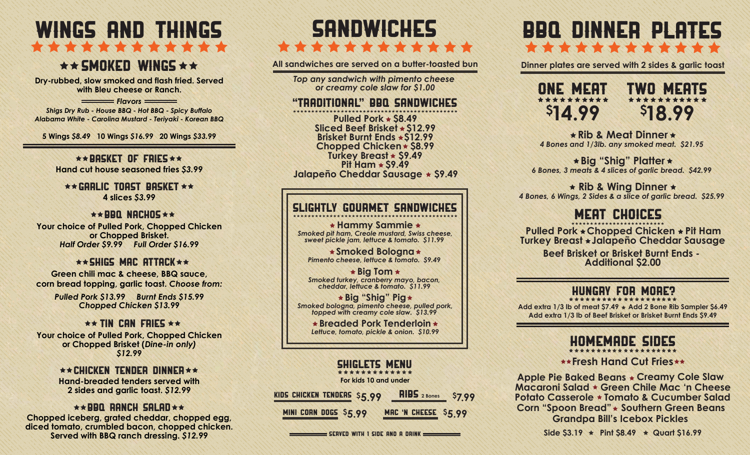# WINGS AND THINGS **TANK AND TANK AND TANK AND TANK AND TANK AND TANK AND TANK AND TANK AND TANK AND TANK AND TANK AND TANK AND TA**

## $\star \star$  SMOKED WINGS  $\star \star$

**Dry-rubbed, slow smoked and flash fried. Served with Bleu cheese or Ranch.**

**Flavors** *Shigs Dry Rub - House BBQ - Hot BBQ - Spicy Buffalo Alabama White - Carolina Mustard - Teriyaki - Korean BBQ*

**5 Wings** *\$8.49* **10 Wings** *\$16.99* **20 Wings** *\$33.99*

 $\star\star$ BASKET OF FRIES  $\star\star$ **Hand cut house seasoned fries** *\$3.99*

 $\star\star$  Garlic toast basket  $\star\star$ **4 slices** *\$3.99*

#### $\star\star$ BBQ NACHOS  $\star\star$

**Your choice of Pulled Pork, Chopped Chicken or Chopped Brisket.** *Half Order \$9.99 Full Order \$16.99*

#### $\star\star$  shigs mac attack  $\star\star$

**Green chili mac & cheese, BBQ sauce, corn bread topping, garlic toast.** *Choose from:*

> *Pulled Pork \$13.99 Burnt Ends \$15.99 Chopped Chicken \$13.99*

#### $\star\star$  TIN CAN FRIES  $\star\star$

**Your choice of Pulled Pork, Chopped Chicken or Chopped Brisket (***Dine-in only) \$12.99*

#### $\star\star$  Chicken Tender Dinner  $\star\star$ **Hand-breaded tenders served with 2 sides and garlic toast.** *\$12.99*

#### $\star\star$ BBQ RANCH SALAD $\star\star$

**Chopped iceberg, grated cheddar, chopped egg, diced tomato, crumbled bacon, chopped chicken. Served with BBQ ranch dressing.** *\$12.99*

# SHIWIM!!! \* \* \* \* \* \* \* \* \* \* \* \*

**All sandwiches are served on a butter-toasted bun**

*Top any sandwich with pimento cheese or creamy cole slaw for \$1.00*

#### "Traditional" bbq sandwiches

**Pit Ham \$9.49 Pulled Pork \$8.49 Turkey Breast \$9.49 Brisket Burnt Ends \$12.99 Sliced Beef Brisket \$12.99 Chopped Chicken \$8.99 Jalapeño Cheddar Sausage \$9.49**

#### Slightly gourmet sandwiches

*Smoked pit ham, Creole mustard, Swiss cheese, sweet pickle jam, lettuce & tomato. \$11.99*  **Hammy Sammie**

*Pimento cheese, lettuce & tomato. \$9.49*  **Smoked Bologna**

*Smoked turkey, cranberry mayo, bacon, cheddar, lettuce & tomato. \$11.99*  **Big Tom**

*Smoked bologna, pimento cheese, pulled pork, topped with creamy cole slaw. \$13.99*  **Big "Shig" Pig**

> *Lettuce, tomato, pickle & onion. \$10.99* **Breaded Pork Tenderloin**

#### SHiglets Menu

**For kids 10 and under**

**MINI CORN DOGS \$5.99 MAC 'N CHEESE \$5.99 KIDS CHICKEN TENDERS \$5.99 <b>RIBS** 2 Bones \$7.99

 $\equiv$  Served with 1 side and a drink  $\equiv$ 

## FREE DINNER PLATES \*\*\*\*\*\*\*\*\*\*\*\*

**Dinner plates are served with 2 sides & garlic toast**



*4 Bones and 1/3lb. any smoked meat. \$21.95*  **Rib & Meat Dinner**

*6 Bones, 3 meats & 4 slices of garlic bread. \$42.99*  **Big "Shig" Platter**

*4 Bones, 6 Wings, 2 Sides & a slice of garlic bread. \$25.99*  **Rib & Wing Dinner**

### MERENHINES

**Pulled Pork Chopped Chicken Pit Ham Turkey Breast Jalapeño Cheddar Sausage**

> **Beef Brisket or Brisket Burnt Ends - Additional \$2.00**

#### Hungry FOR MORE?

**Add extra 1/3 lb of Beef Brisket or Brisket Burnt Ends \$9.49 Add extra 1/3 lb of meat \$7.49 Add 2 Bone Rib Sampler \$6.49**

## HOMEMADE sides

**Fresh Hand Cut Fries** 

**Apple Pie Baked Beans Creamy Cole Slaw Southern Green Beans Corn "Spoon Bread" Grandpa Bill's Icebox Pickles Potato Casserole Tomato & Cucumber Salad Macaroni Salad Green Chile Mac 'n Cheese**

Side  $53.19 \star$  Pint  $58.49 \star$  Quart  $516.99$